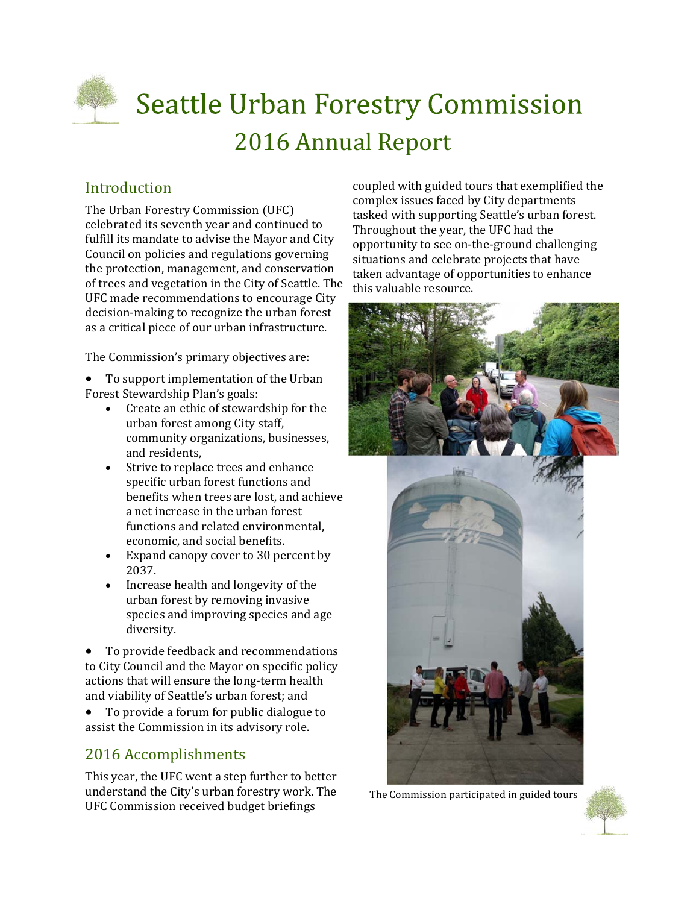

# **Seattle Urban Forestry Commission** 2016 Annual Report

# Introduction

The Urban Forestry Commission (UFC) celebrated its seventh year and continued to fulfill its mandate to advise the Mayor and City Council on policies and regulations governing the protection, management, and conservation of trees and vegetation in the City of Seattle. The UFC made recommendations to encourage City decision-making to recognize the urban forest as a critical piece of our urban infrastructure.

The Commission's primary objectives are:

To support implementation of the Urban Forest Stewardship Plan's goals:

- Create an ethic of stewardship for the urban forest among City staff, community organizations, businesses, and residents,
- Strive to replace trees and enhance specific urban forest functions and benefits when trees are lost, and achieve a net increase in the urban forest functions and related environmental, economic, and social benefits.
- Expand canopy cover to 30 percent by 2037.
- $\bullet$  Increase health and longevity of the urban forest by removing invasive species and improving species and age diversity.

• To provide feedback and recommendations to City Council and the Mayor on specific policy actions that will ensure the long-term health and viability of Seattle's urban forest; and

• To provide a forum for public dialogue to assist the Commission in its advisory role.

## 2016 Accomplishments

This year, the UFC went a step further to better understand the City's urban forestry work. The UFC Commission received budget briefings

coupled with guided tours that exemplified the complex issues faced by City departments tasked with supporting Seattle's urban forest. Throughout the year, the UFC had the opportunity to see on-the-ground challenging situations and celebrate projects that have taken advantage of opportunities to enhance this valuable resource.



The Commission participated in guided tours

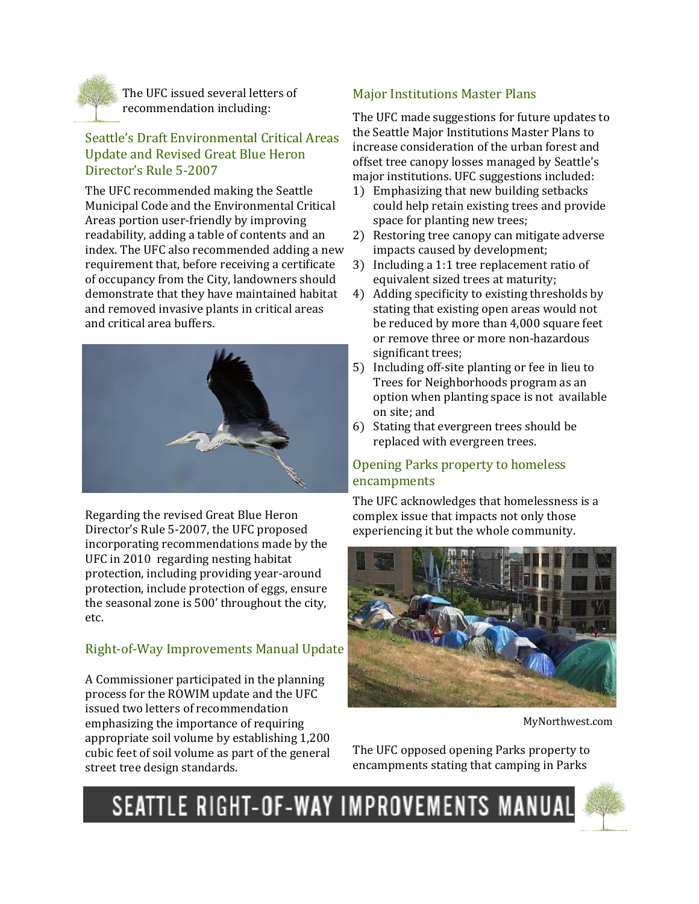

The UFC issued several letters of recommendation including:

#### Seattle's Draft Environmental Critical Areas Update and Revised Great Blue Heron Director's Rule 5-2007

The UFC recommended making the Seattle Municipal Code and the Environmental Critical Areas portion user-friendly by improving readability, adding a table of contents and an index. The UFC also recommended adding a new requirement that, before receiving a certificate of occupancy from the City, landowners should demonstrate that they have maintained habitat and removed invasive plants in critical areas and critical area buffers.



Regarding the revised Great Blue Heron Director's Rule 5-2007, the UFC proposed incorporating recommendations made by the UFC in 2010 regarding nesting habitat protection, including providing year-around protection, include protection of eggs, ensure the seasonal zone is 500' throughout the city, etc. 

## Right-of-Way Improvements Manual Update

A Commissioner participated in the planning process for the ROWIM update and the UFC issued two letters of recommendation emphasizing the importance of requiring appropriate soil volume by establishing 1,200 cubic feet of soil volume as part of the general street tree design standards.

## **Major Institutions Master Plans**

The UFC made suggestions for future updates to the Seattle Major Institutions Master Plans to increase consideration of the urban forest and offset tree canopy losses managed by Seattle's major institutions. UFC suggestions included:

- 1) Emphasizing that new building setbacks could help retain existing trees and provide space for planting new trees;
- 2) Restoring tree canopy can mitigate adverse impacts caused by development;
- 3) Including a 1:1 tree replacement ratio of equivalent sized trees at maturity;
- 4) Adding specificity to existing thresholds by stating that existing open areas would not be reduced by more than 4,000 square feet or remove three or more non-hazardous significant trees;
- 5) Including off-site planting or fee in lieu to Trees for Neighborhoods program as an option when planting space is not available on site; and
- 6) Stating that evergreen trees should be replaced with evergreen trees.

## Opening Parks property to homeless encampments

The UFC acknowledges that homelessness is a complex issue that impacts not only those experiencing it but the whole community.



MyNorthwest.com 

The UFC opposed opening Parks property to encampments stating that camping in Parks



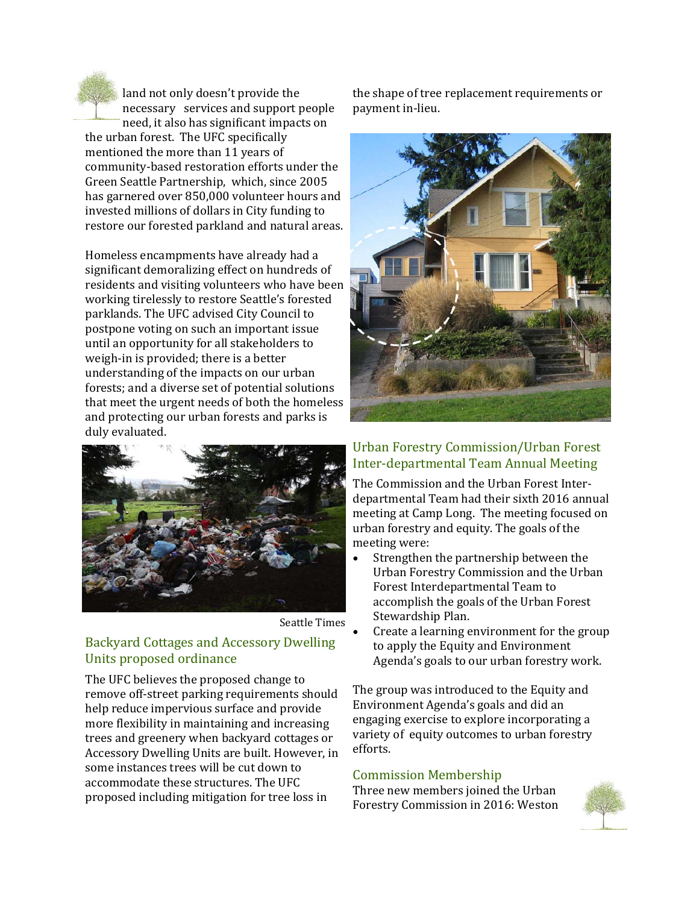land not only doesn't provide the necessary services and support people need, it also has significant impacts on the urban forest. The UFC specifically mentioned the more than 11 years of

community-based restoration efforts under the Green Seattle Partnership, which, since 2005 has garnered over 850,000 volunteer hours and invested millions of dollars in City funding to restore our forested parkland and natural areas.

Homeless encampments have already had a significant demoralizing effect on hundreds of residents and visiting volunteers who have been working tirelessly to restore Seattle's forested parklands. The UFC advised City Council to postpone voting on such an important issue until an opportunity for all stakeholders to weigh-in is provided; there is a better understanding of the impacts on our urban forests; and a diverse set of potential solutions that meet the urgent needs of both the homeless and protecting our urban forests and parks is duly evaluated.





## Backyard Cottages and Accessory Dwelling Units proposed ordinance

The UFC believes the proposed change to remove off-street parking requirements should help reduce impervious surface and provide more flexibility in maintaining and increasing trees and greenery when backyard cottages or Accessory Dwelling Units are built. However, in some instances trees will be cut down to accommodate these structures. The UFC proposed including mitigation for tree loss in

the shape of tree replacement requirements or payment in-lieu.



#### Urban Forestry Commission/Urban Forest Inter-departmental Team Annual Meeting

The Commission and the Urban Forest Interdepartmental Team had their sixth 2016 annual meeting at Camp Long. The meeting focused on urban forestry and equity. The goals of the meeting were:

- Strengthen the partnership between the Urban Forestry Commission and the Urban Forest Interdepartmental Team to accomplish the goals of the Urban Forest Stewardship Plan.
- Create a learning environment for the group to apply the Equity and Environment Agenda's goals to our urban forestry work.

The group was introduced to the Equity and Environment Agenda's goals and did an engaging exercise to explore incorporating a variety of equity outcomes to urban forestry efforts. 

#### Commission Membership

Three new members joined the Urban Forestry Commission in 2016: Weston